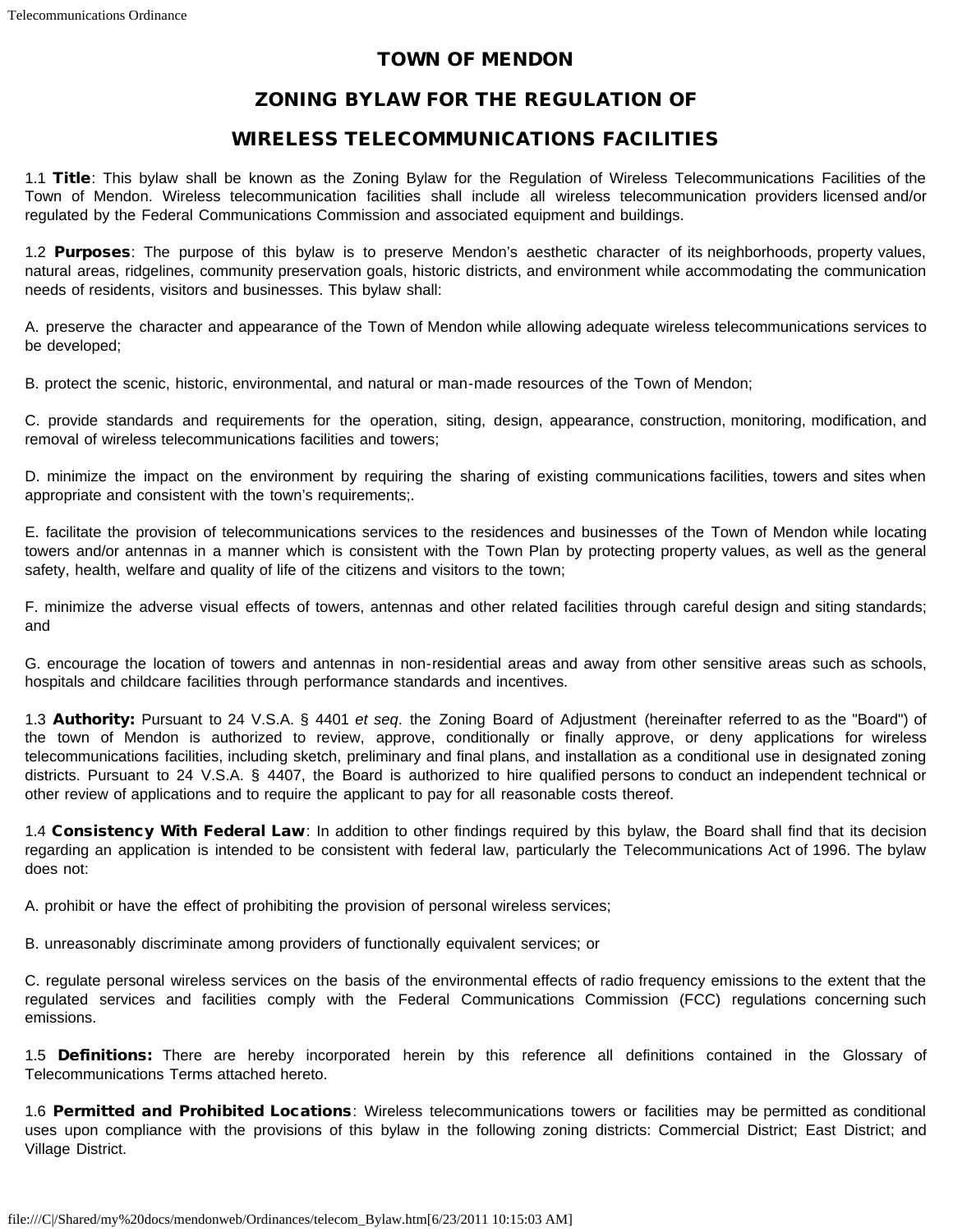## TOWN OF MENDON

# ZONING BYLAW FOR THE REGULATION OF

## WIRELESS TELECOMMUNICATIONS FACILITIES

1.1 Title: This bylaw shall be known as the Zoning Bylaw for the Regulation of Wireless Telecommunications Facilities of the Town of Mendon. Wireless telecommunication facilities shall include all wireless telecommunication providers licensed and/or regulated by the Federal Communications Commission and associated equipment and buildings.

1.2 **Purposes**: The purpose of this bylaw is to preserve Mendon's aesthetic character of its neighborhoods, property values, natural areas, ridgelines, community preservation goals, historic districts, and environment while accommodating the communication needs of residents, visitors and businesses. This bylaw shall:

A. preserve the character and appearance of the Town of Mendon while allowing adequate wireless telecommunications services to be developed;

B. protect the scenic, historic, environmental, and natural or man-made resources of the Town of Mendon;

C. provide standards and requirements for the operation, siting, design, appearance, construction, monitoring, modification, and removal of wireless telecommunications facilities and towers;

D. minimize the impact on the environment by requiring the sharing of existing communications facilities, towers and sites when appropriate and consistent with the town's requirements;.

E. facilitate the provision of telecommunications services to the residences and businesses of the Town of Mendon while locating towers and/or antennas in a manner which is consistent with the Town Plan by protecting property values, as well as the general safety, health, welfare and quality of life of the citizens and visitors to the town;

F. minimize the adverse visual effects of towers, antennas and other related facilities through careful design and siting standards; and

G. encourage the location of towers and antennas in non-residential areas and away from other sensitive areas such as schools, hospitals and childcare facilities through performance standards and incentives.

1.3 Authority: Pursuant to 24 V.S.A. § 4401 *et seq*. the Zoning Board of Adjustment (hereinafter referred to as the "Board") of the town of Mendon is authorized to review, approve, conditionally or finally approve, or deny applications for wireless telecommunications facilities, including sketch, preliminary and final plans, and installation as a conditional use in designated zoning districts. Pursuant to 24 V.S.A. § 4407, the Board is authorized to hire qualified persons to conduct an independent technical or other review of applications and to require the applicant to pay for all reasonable costs thereof.

1.4 Consistency With Federal Law: In addition to other findings required by this bylaw, the Board shall find that its decision regarding an application is intended to be consistent with federal law, particularly the Telecommunications Act of 1996. The bylaw does not:

A. prohibit or have the effect of prohibiting the provision of personal wireless services;

B. unreasonably discriminate among providers of functionally equivalent services; or

C. regulate personal wireless services on the basis of the environmental effects of radio frequency emissions to the extent that the regulated services and facilities comply with the Federal Communications Commission (FCC) regulations concerning such emissions.

1.5 Definitions: There are hereby incorporated herein by this reference all definitions contained in the Glossary of Telecommunications Terms attached hereto.

1.6 Permitted and Prohibited Locations: Wireless telecommunications towers or facilities may be permitted as conditional uses upon compliance with the provisions of this bylaw in the following zoning districts: Commercial District; East District; and Village District.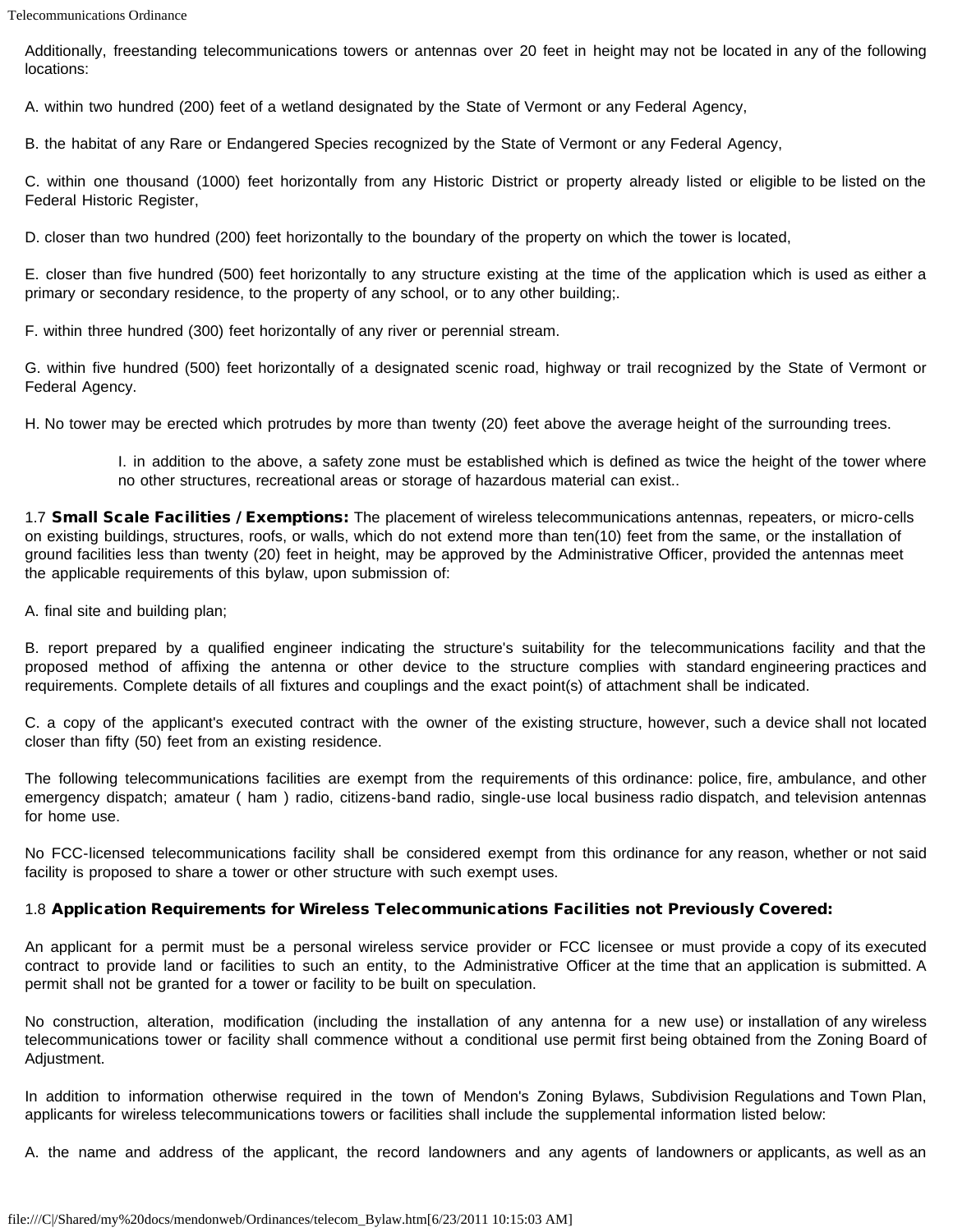Additionally, freestanding telecommunications towers or antennas over 20 feet in height may not be located in any of the following locations:

A. within two hundred (200) feet of a wetland designated by the State of Vermont or any Federal Agency,

B. the habitat of any Rare or Endangered Species recognized by the State of Vermont or any Federal Agency,

C. within one thousand (1000) feet horizontally from any Historic District or property already listed or eligible to be listed on the Federal Historic Register,

D. closer than two hundred (200) feet horizontally to the boundary of the property on which the tower is located,

E. closer than five hundred (500) feet horizontally to any structure existing at the time of the application which is used as either a primary or secondary residence, to the property of any school, or to any other building;.

F. within three hundred (300) feet horizontally of any river or perennial stream.

G. within five hundred (500) feet horizontally of a designated scenic road, highway or trail recognized by the State of Vermont or Federal Agency.

H. No tower may be erected which protrudes by more than twenty (20) feet above the average height of the surrounding trees.

I. in addition to the above, a safety zone must be established which is defined as twice the height of the tower where no other structures, recreational areas or storage of hazardous material can exist..

1.7 Small Scale Facilities / Exemptions: The placement of wireless telecommunications antennas, repeaters, or micro-cells on existing buildings, structures, roofs, or walls, which do not extend more than ten(10) feet from the same, or the installation of ground facilities less than twenty (20) feet in height, may be approved by the Administrative Officer, provided the antennas meet the applicable requirements of this bylaw, upon submission of:

A. final site and building plan;

B. report prepared by a qualified engineer indicating the structure's suitability for the telecommunications facility and that the proposed method of affixing the antenna or other device to the structure complies with standard engineering practices and requirements. Complete details of all fixtures and couplings and the exact point(s) of attachment shall be indicated.

C. a copy of the applicant's executed contract with the owner of the existing structure, however, such a device shall not located closer than fifty (50) feet from an existing residence.

The following telecommunications facilities are exempt from the requirements of this ordinance: police, fire, ambulance, and other emergency dispatch; amateur ( ham ) radio, citizens-band radio, single-use local business radio dispatch, and television antennas for home use.

No FCC-licensed telecommunications facility shall be considered exempt from this ordinance for any reason, whether or not said facility is proposed to share a tower or other structure with such exempt uses.

#### 1.8 Application Requirements for Wireless Telecommunications Facilities not Previously Covered:

An applicant for a permit must be a personal wireless service provider or FCC licensee or must provide a copy of its executed contract to provide land or facilities to such an entity, to the Administrative Officer at the time that an application is submitted. A permit shall not be granted for a tower or facility to be built on speculation.

No construction, alteration, modification (including the installation of any antenna for a new use) or installation of any wireless telecommunications tower or facility shall commence without a conditional use permit first being obtained from the Zoning Board of Adjustment.

In addition to information otherwise required in the town of Mendon's Zoning Bylaws, Subdivision Regulations and Town Plan, applicants for wireless telecommunications towers or facilities shall include the supplemental information listed below:

A. the name and address of the applicant, the record landowners and any agents of landowners or applicants, as well as an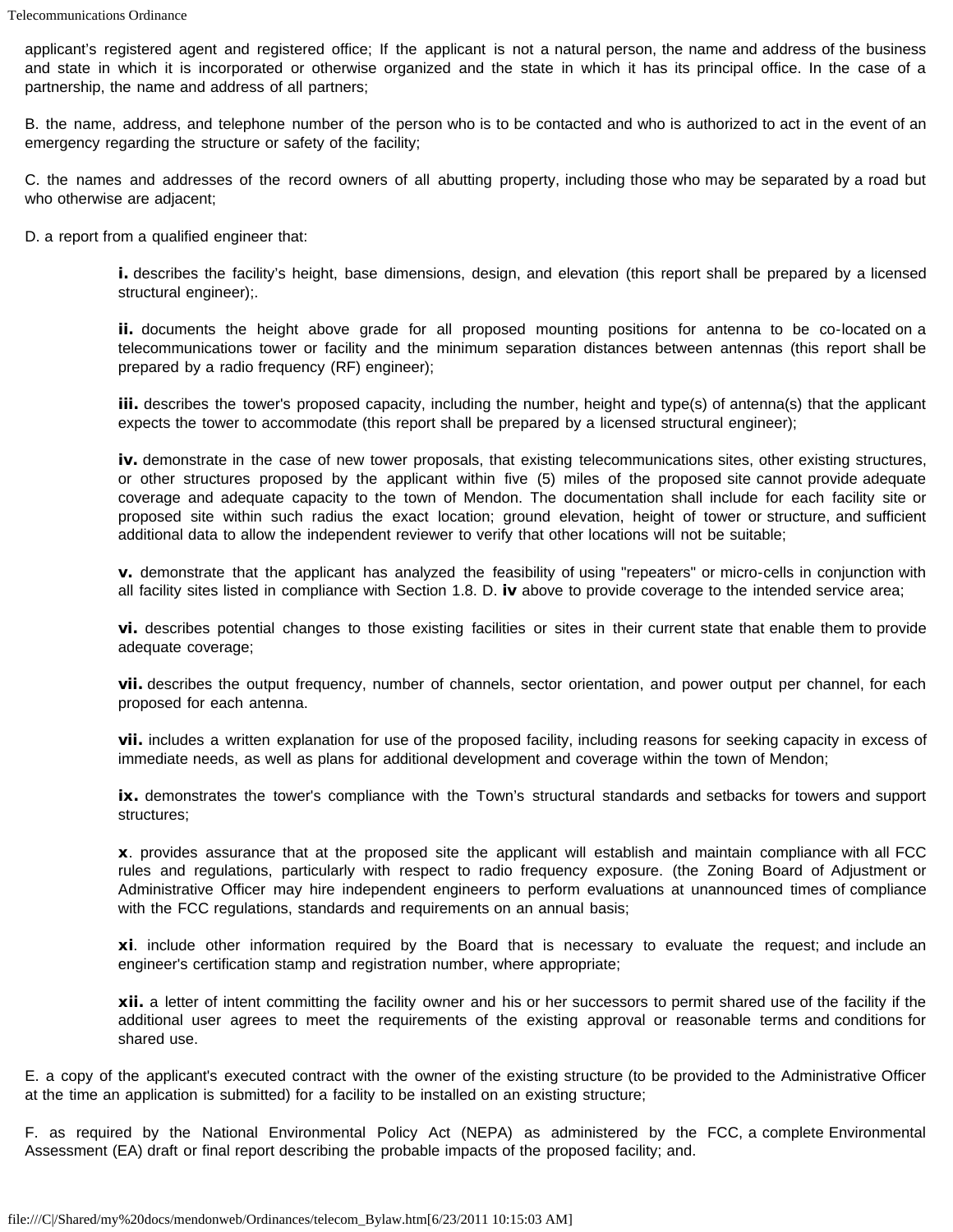applicant's registered agent and registered office; If the applicant is not a natural person, the name and address of the business and state in which it is incorporated or otherwise organized and the state in which it has its principal office. In the case of a partnership, the name and address of all partners;

B. the name, address, and telephone number of the person who is to be contacted and who is authorized to act in the event of an emergency regarding the structure or safety of the facility;

C. the names and addresses of the record owners of all abutting property, including those who may be separated by a road but who otherwise are adjacent;

D. a report from a qualified engineer that:

i. describes the facility's height, base dimensions, design, and elevation (this report shall be prepared by a licensed structural engineer);.

ii. documents the height above grade for all proposed mounting positions for antenna to be co-located on a telecommunications tower or facility and the minimum separation distances between antennas (this report shall be prepared by a radio frequency (RF) engineer);

iii. describes the tower's proposed capacity, including the number, height and type(s) of antenna(s) that the applicant expects the tower to accommodate (this report shall be prepared by a licensed structural engineer);

iv. demonstrate in the case of new tower proposals, that existing telecommunications sites, other existing structures, or other structures proposed by the applicant within five (5) miles of the proposed site cannot provide adequate coverage and adequate capacity to the town of Mendon. The documentation shall include for each facility site or proposed site within such radius the exact location; ground elevation, height of tower or structure, and sufficient additional data to allow the independent reviewer to verify that other locations will not be suitable;

v. demonstrate that the applicant has analyzed the feasibility of using "repeaters" or micro-cells in conjunction with all facility sites listed in compliance with Section 1.8. D. iv above to provide coverage to the intended service area;

vi. describes potential changes to those existing facilities or sites in their current state that enable them to provide adequate coverage;

vii. describes the output frequency, number of channels, sector orientation, and power output per channel, for each proposed for each antenna.

vii. includes a written explanation for use of the proposed facility, including reasons for seeking capacity in excess of immediate needs, as well as plans for additional development and coverage within the town of Mendon;

ix. demonstrates the tower's compliance with the Town's structural standards and setbacks for towers and support structures;

x. provides assurance that at the proposed site the applicant will establish and maintain compliance with all FCC rules and regulations, particularly with respect to radio frequency exposure. (the Zoning Board of Adjustment or Administrative Officer may hire independent engineers to perform evaluations at unannounced times of compliance with the FCC regulations, standards and requirements on an annual basis;

xi. include other information required by the Board that is necessary to evaluate the request; and include an engineer's certification stamp and registration number, where appropriate;

xii. a letter of intent committing the facility owner and his or her successors to permit shared use of the facility if the additional user agrees to meet the requirements of the existing approval or reasonable terms and conditions for shared use.

E. a copy of the applicant's executed contract with the owner of the existing structure (to be provided to the Administrative Officer at the time an application is submitted) for a facility to be installed on an existing structure;

F. as required by the National Environmental Policy Act (NEPA) as administered by the FCC, a complete Environmental Assessment (EA) draft or final report describing the probable impacts of the proposed facility; and.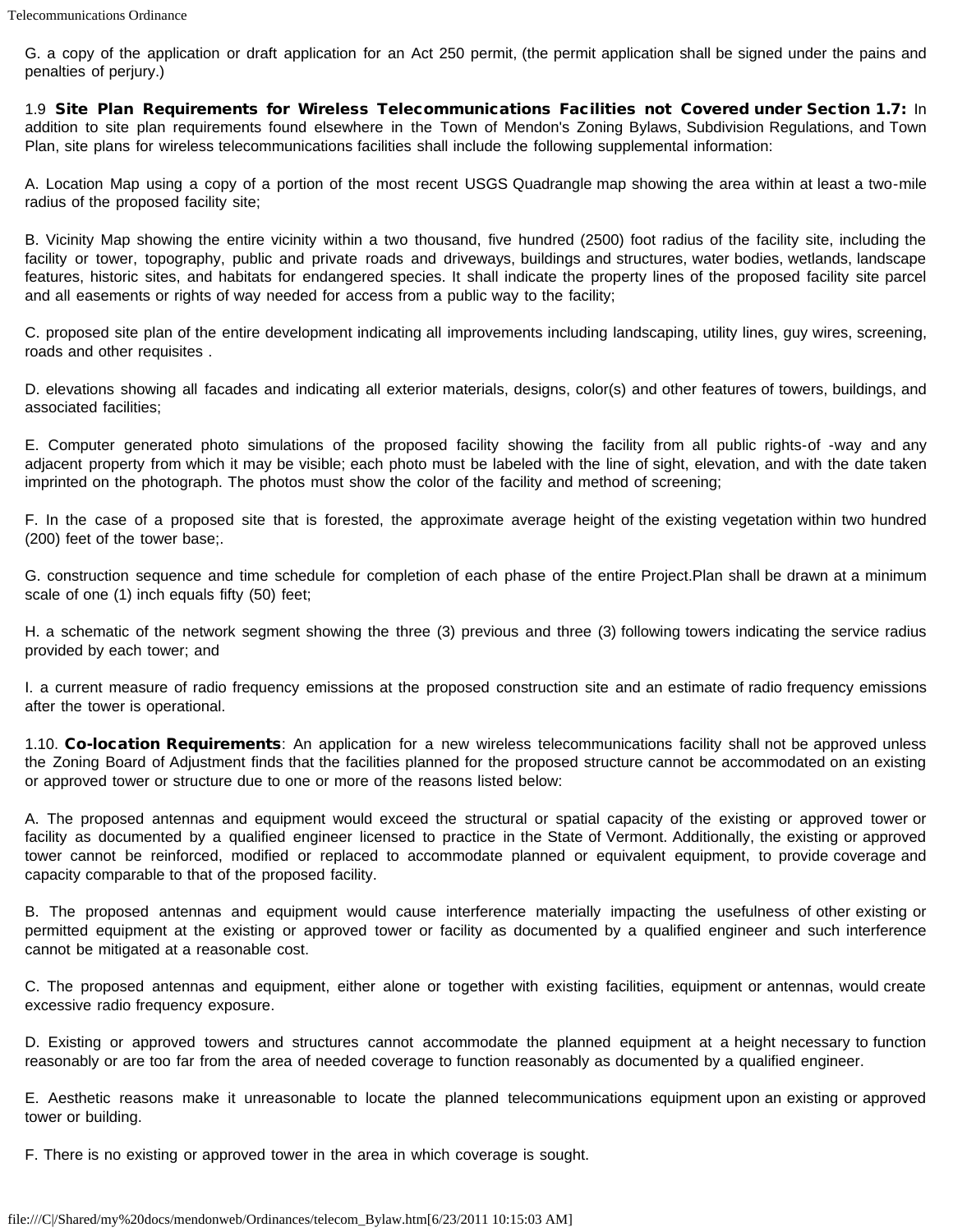G. a copy of the application or draft application for an Act 250 permit, (the permit application shall be signed under the pains and penalties of perjury.)

1.9 Site Plan Requirements for Wireless Telecommunications Facilities not Covered under Section 1.7: In addition to site plan requirements found elsewhere in the Town of Mendon's Zoning Bylaws, Subdivision Regulations, and Town Plan, site plans for wireless telecommunications facilities shall include the following supplemental information:

A. Location Map using a copy of a portion of the most recent USGS Quadrangle map showing the area within at least a two-mile radius of the proposed facility site;

B. Vicinity Map showing the entire vicinity within a two thousand, five hundred (2500) foot radius of the facility site, including the facility or tower, topography, public and private roads and driveways, buildings and structures, water bodies, wetlands, landscape features, historic sites, and habitats for endangered species. It shall indicate the property lines of the proposed facility site parcel and all easements or rights of way needed for access from a public way to the facility;

C. proposed site plan of the entire development indicating all improvements including landscaping, utility lines, guy wires, screening, roads and other requisites .

D. elevations showing all facades and indicating all exterior materials, designs, color(s) and other features of towers, buildings, and associated facilities;

E. Computer generated photo simulations of the proposed facility showing the facility from all public rights-of -way and any adjacent property from which it may be visible; each photo must be labeled with the line of sight, elevation, and with the date taken imprinted on the photograph. The photos must show the color of the facility and method of screening;

F. In the case of a proposed site that is forested, the approximate average height of the existing vegetation within two hundred (200) feet of the tower base;.

G. construction sequence and time schedule for completion of each phase of the entire Project.Plan shall be drawn at a minimum scale of one (1) inch equals fifty (50) feet;

H. a schematic of the network segment showing the three (3) previous and three (3) following towers indicating the service radius provided by each tower; and

I. a current measure of radio frequency emissions at the proposed construction site and an estimate of radio frequency emissions after the tower is operational.

1.10. Co-location Requirements: An application for a new wireless telecommunications facility shall not be approved unless the Zoning Board of Adjustment finds that the facilities planned for the proposed structure cannot be accommodated on an existing or approved tower or structure due to one or more of the reasons listed below:

A. The proposed antennas and equipment would exceed the structural or spatial capacity of the existing or approved tower or facility as documented by a qualified engineer licensed to practice in the State of Vermont. Additionally, the existing or approved tower cannot be reinforced, modified or replaced to accommodate planned or equivalent equipment, to provide coverage and capacity comparable to that of the proposed facility.

B. The proposed antennas and equipment would cause interference materially impacting the usefulness of other existing or permitted equipment at the existing or approved tower or facility as documented by a qualified engineer and such interference cannot be mitigated at a reasonable cost.

C. The proposed antennas and equipment, either alone or together with existing facilities, equipment or antennas, would create excessive radio frequency exposure.

D. Existing or approved towers and structures cannot accommodate the planned equipment at a height necessary to function reasonably or are too far from the area of needed coverage to function reasonably as documented by a qualified engineer.

E. Aesthetic reasons make it unreasonable to locate the planned telecommunications equipment upon an existing or approved tower or building.

F. There is no existing or approved tower in the area in which coverage is sought.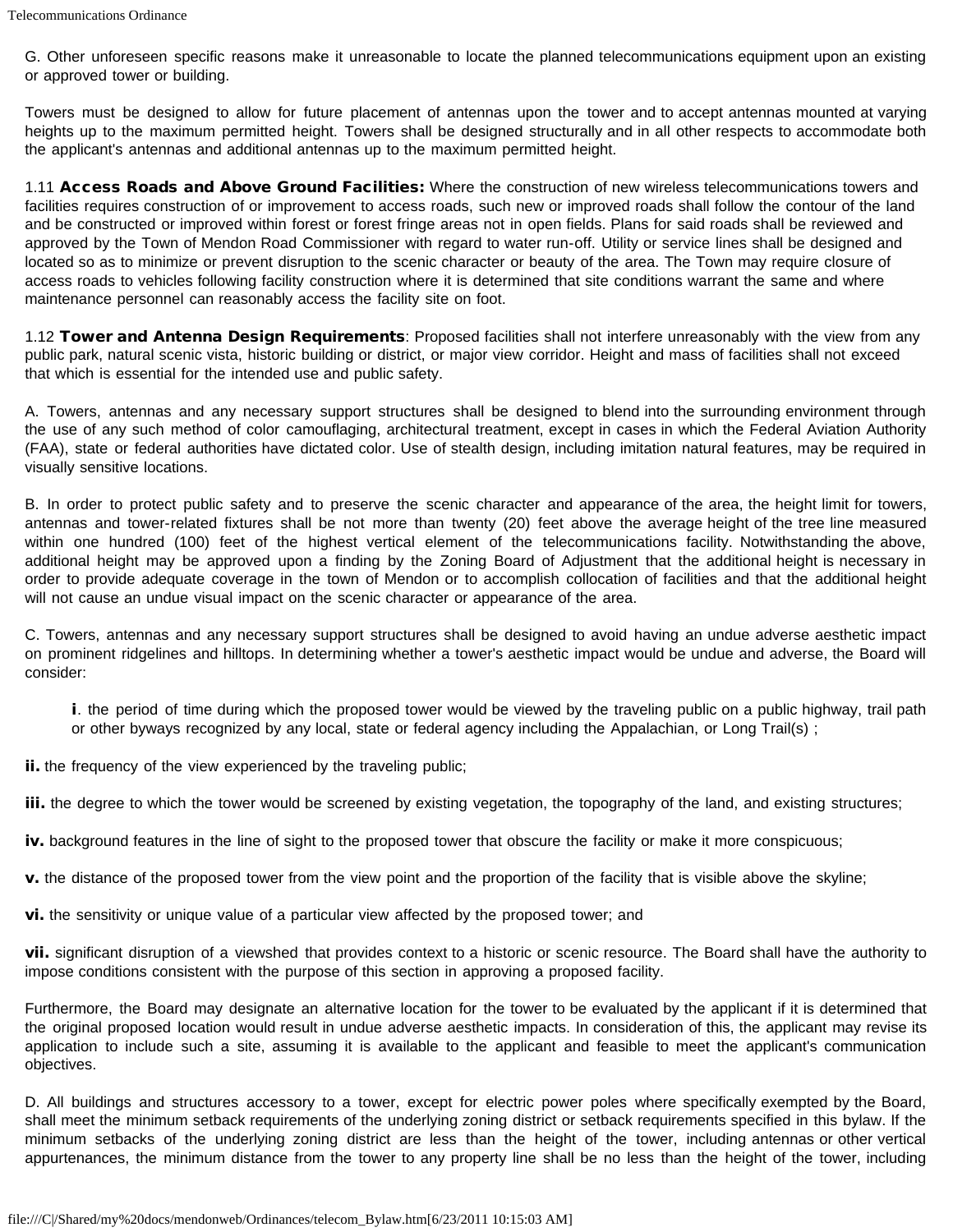G. Other unforeseen specific reasons make it unreasonable to locate the planned telecommunications equipment upon an existing or approved tower or building.

Towers must be designed to allow for future placement of antennas upon the tower and to accept antennas mounted at varying heights up to the maximum permitted height. Towers shall be designed structurally and in all other respects to accommodate both the applicant's antennas and additional antennas up to the maximum permitted height.

1.11 Access Roads and Above Ground Facilities: Where the construction of new wireless telecommunications towers and facilities requires construction of or improvement to access roads, such new or improved roads shall follow the contour of the land and be constructed or improved within forest or forest fringe areas not in open fields. Plans for said roads shall be reviewed and approved by the Town of Mendon Road Commissioner with regard to water run-off. Utility or service lines shall be designed and located so as to minimize or prevent disruption to the scenic character or beauty of the area. The Town may require closure of access roads to vehicles following facility construction where it is determined that site conditions warrant the same and where maintenance personnel can reasonably access the facility site on foot.

1.12 Tower and Antenna Design Requirements: Proposed facilities shall not interfere unreasonably with the view from any public park, natural scenic vista, historic building or district, or major view corridor. Height and mass of facilities shall not exceed that which is essential for the intended use and public safety.

A. Towers, antennas and any necessary support structures shall be designed to blend into the surrounding environment through the use of any such method of color camouflaging, architectural treatment, except in cases in which the Federal Aviation Authority (FAA), state or federal authorities have dictated color. Use of stealth design, including imitation natural features, may be required in visually sensitive locations.

B. In order to protect public safety and to preserve the scenic character and appearance of the area, the height limit for towers, antennas and tower-related fixtures shall be not more than twenty (20) feet above the average height of the tree line measured within one hundred (100) feet of the highest vertical element of the telecommunications facility. Notwithstanding the above, additional height may be approved upon a finding by the Zoning Board of Adjustment that the additional height is necessary in order to provide adequate coverage in the town of Mendon or to accomplish collocation of facilities and that the additional height will not cause an undue visual impact on the scenic character or appearance of the area.

C. Towers, antennas and any necessary support structures shall be designed to avoid having an undue adverse aesthetic impact on prominent ridgelines and hilltops. In determining whether a tower's aesthetic impact would be undue and adverse, the Board will consider:

i. the period of time during which the proposed tower would be viewed by the traveling public on a public highway, trail path or other byways recognized by any local, state or federal agency including the Appalachian, or Long Trail(s) ;

ii. the frequency of the view experienced by the traveling public;

iii. the degree to which the tower would be screened by existing vegetation, the topography of the land, and existing structures;

iv. background features in the line of sight to the proposed tower that obscure the facility or make it more conspicuous;

v. the distance of the proposed tower from the view point and the proportion of the facility that is visible above the skyline;

vi. the sensitivity or unique value of a particular view affected by the proposed tower; and

vii. significant disruption of a viewshed that provides context to a historic or scenic resource. The Board shall have the authority to impose conditions consistent with the purpose of this section in approving a proposed facility.

Furthermore, the Board may designate an alternative location for the tower to be evaluated by the applicant if it is determined that the original proposed location would result in undue adverse aesthetic impacts. In consideration of this, the applicant may revise its application to include such a site, assuming it is available to the applicant and feasible to meet the applicant's communication objectives.

D. All buildings and structures accessory to a tower, except for electric power poles where specifically exempted by the Board, shall meet the minimum setback requirements of the underlying zoning district or setback requirements specified in this bylaw. If the minimum setbacks of the underlying zoning district are less than the height of the tower, including antennas or other vertical appurtenances, the minimum distance from the tower to any property line shall be no less than the height of the tower, including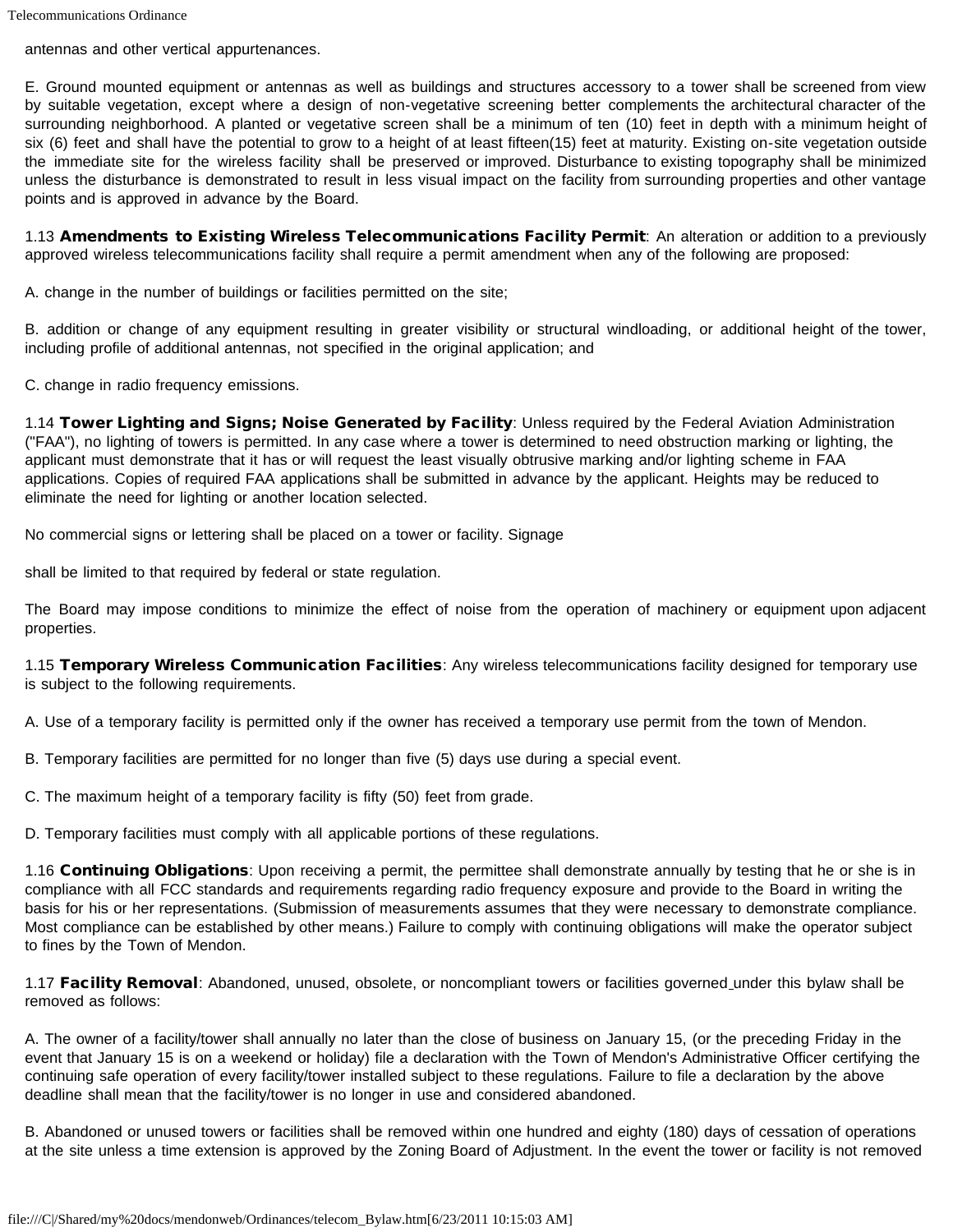antennas and other vertical appurtenances.

E. Ground mounted equipment or antennas as well as buildings and structures accessory to a tower shall be screened from view by suitable vegetation, except where a design of non-vegetative screening better complements the architectural character of the surrounding neighborhood. A planted or vegetative screen shall be a minimum of ten (10) feet in depth with a minimum height of six (6) feet and shall have the potential to grow to a height of at least fifteen(15) feet at maturity. Existing on-site vegetation outside the immediate site for the wireless facility shall be preserved or improved. Disturbance to existing topography shall be minimized unless the disturbance is demonstrated to result in less visual impact on the facility from surrounding properties and other vantage points and is approved in advance by the Board.

1.13 Amendments to Existing Wireless Telecommunications Facility Permit: An alteration or addition to a previously approved wireless telecommunications facility shall require a permit amendment when any of the following are proposed:

A. change in the number of buildings or facilities permitted on the site;

B. addition or change of any equipment resulting in greater visibility or structural windloading, or additional height of the tower, including profile of additional antennas, not specified in the original application; and

C. change in radio frequency emissions.

1.14 Tower Lighting and Signs; Noise Generated by Facility: Unless required by the Federal Aviation Administration ("FAA"), no lighting of towers is permitted. In any case where a tower is determined to need obstruction marking or lighting, the applicant must demonstrate that it has or will request the least visually obtrusive marking and/or lighting scheme in FAA applications. Copies of required FAA applications shall be submitted in advance by the applicant. Heights may be reduced to eliminate the need for lighting or another location selected.

No commercial signs or lettering shall be placed on a tower or facility. Signage

shall be limited to that required by federal or state regulation.

The Board may impose conditions to minimize the effect of noise from the operation of machinery or equipment upon adjacent properties.

1.15 Temporary Wireless Communication Facilities: Any wireless telecommunications facility designed for temporary use is subject to the following requirements.

A. Use of a temporary facility is permitted only if the owner has received a temporary use permit from the town of Mendon.

B. Temporary facilities are permitted for no longer than five (5) days use during a special event.

C. The maximum height of a temporary facility is fifty (50) feet from grade.

D. Temporary facilities must comply with all applicable portions of these regulations.

1.16 Continuing Obligations: Upon receiving a permit, the permittee shall demonstrate annually by testing that he or she is in compliance with all FCC standards and requirements regarding radio frequency exposure and provide to the Board in writing the basis for his or her representations. (Submission of measurements assumes that they were necessary to demonstrate compliance. Most compliance can be established by other means.) Failure to comply with continuing obligations will make the operator subject to fines by the Town of Mendon.

1.17 Facility Removal: Abandoned, unused, obsolete, or noncompliant towers or facilities governed under this bylaw shall be removed as follows:

A. The owner of a facility/tower shall annually no later than the close of business on January 15, (or the preceding Friday in the event that January 15 is on a weekend or holiday) file a declaration with the Town of Mendon's Administrative Officer certifying the continuing safe operation of every facility/tower installed subject to these regulations. Failure to file a declaration by the above deadline shall mean that the facility/tower is no longer in use and considered abandoned.

B. Abandoned or unused towers or facilities shall be removed within one hundred and eighty (180) days of cessation of operations at the site unless a time extension is approved by the Zoning Board of Adjustment. In the event the tower or facility is not removed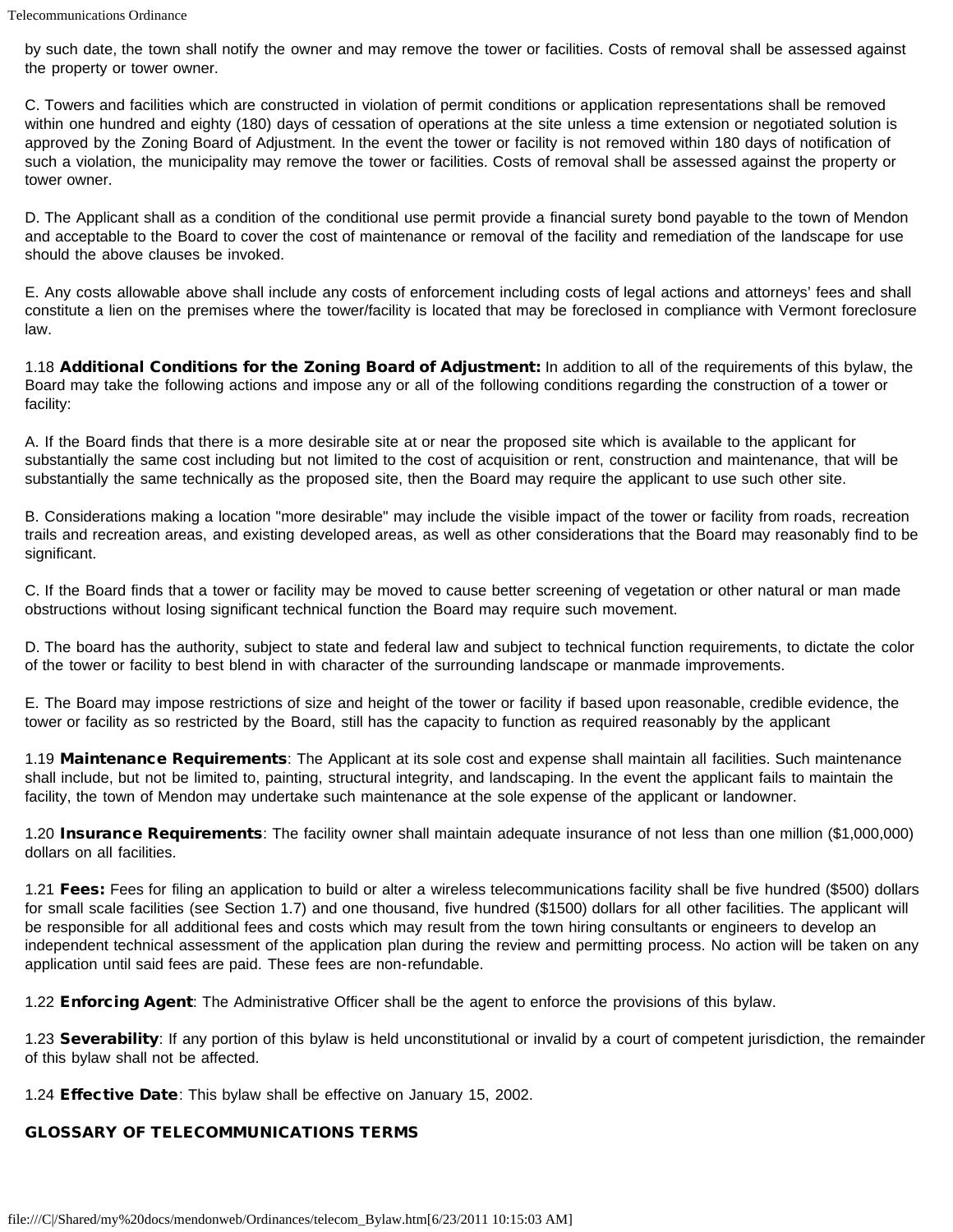by such date, the town shall notify the owner and may remove the tower or facilities. Costs of removal shall be assessed against the property or tower owner.

C. Towers and facilities which are constructed in violation of permit conditions or application representations shall be removed within one hundred and eighty (180) days of cessation of operations at the site unless a time extension or negotiated solution is approved by the Zoning Board of Adjustment. In the event the tower or facility is not removed within 180 days of notification of such a violation, the municipality may remove the tower or facilities. Costs of removal shall be assessed against the property or tower owner.

D. The Applicant shall as a condition of the conditional use permit provide a financial surety bond payable to the town of Mendon and acceptable to the Board to cover the cost of maintenance or removal of the facility and remediation of the landscape for use should the above clauses be invoked.

E. Any costs allowable above shall include any costs of enforcement including costs of legal actions and attorneys' fees and shall constitute a lien on the premises where the tower/facility is located that may be foreclosed in compliance with Vermont foreclosure law.

1.18 Additional Conditions for the Zoning Board of Adjustment: In addition to all of the requirements of this bylaw, the Board may take the following actions and impose any or all of the following conditions regarding the construction of a tower or facility:

A. If the Board finds that there is a more desirable site at or near the proposed site which is available to the applicant for substantially the same cost including but not limited to the cost of acquisition or rent, construction and maintenance, that will be substantially the same technically as the proposed site, then the Board may require the applicant to use such other site.

B. Considerations making a location "more desirable" may include the visible impact of the tower or facility from roads, recreation trails and recreation areas, and existing developed areas, as well as other considerations that the Board may reasonably find to be significant.

C. If the Board finds that a tower or facility may be moved to cause better screening of vegetation or other natural or man made obstructions without losing significant technical function the Board may require such movement.

D. The board has the authority, subject to state and federal law and subject to technical function requirements, to dictate the color of the tower or facility to best blend in with character of the surrounding landscape or manmade improvements.

E. The Board may impose restrictions of size and height of the tower or facility if based upon reasonable, credible evidence, the tower or facility as so restricted by the Board, still has the capacity to function as required reasonably by the applicant

1.19 Maintenance Requirements: The Applicant at its sole cost and expense shall maintain all facilities. Such maintenance shall include, but not be limited to, painting, structural integrity, and landscaping. In the event the applicant fails to maintain the facility, the town of Mendon may undertake such maintenance at the sole expense of the applicant or landowner.

1.20 **Insurance Requirements**: The facility owner shall maintain adequate insurance of not less than one million (\$1,000,000) dollars on all facilities.

1.21 Fees: Fees for filing an application to build or alter a wireless telecommunications facility shall be five hundred (\$500) dollars for small scale facilities (see Section 1.7) and one thousand, five hundred (\$1500) dollars for all other facilities. The applicant will be responsible for all additional fees and costs which may result from the town hiring consultants or engineers to develop an independent technical assessment of the application plan during the review and permitting process. No action will be taken on any application until said fees are paid. These fees are non-refundable.

1.22 **Enforcing Agent**: The Administrative Officer shall be the agent to enforce the provisions of this bylaw.

1.23 Severability: If any portion of this bylaw is held unconstitutional or invalid by a court of competent jurisdiction, the remainder of this bylaw shall not be affected.

1.24 Effective Date: This bylaw shall be effective on January 15, 2002.

### GLOSSARY OF TELECOMMUNICATIONS TERMS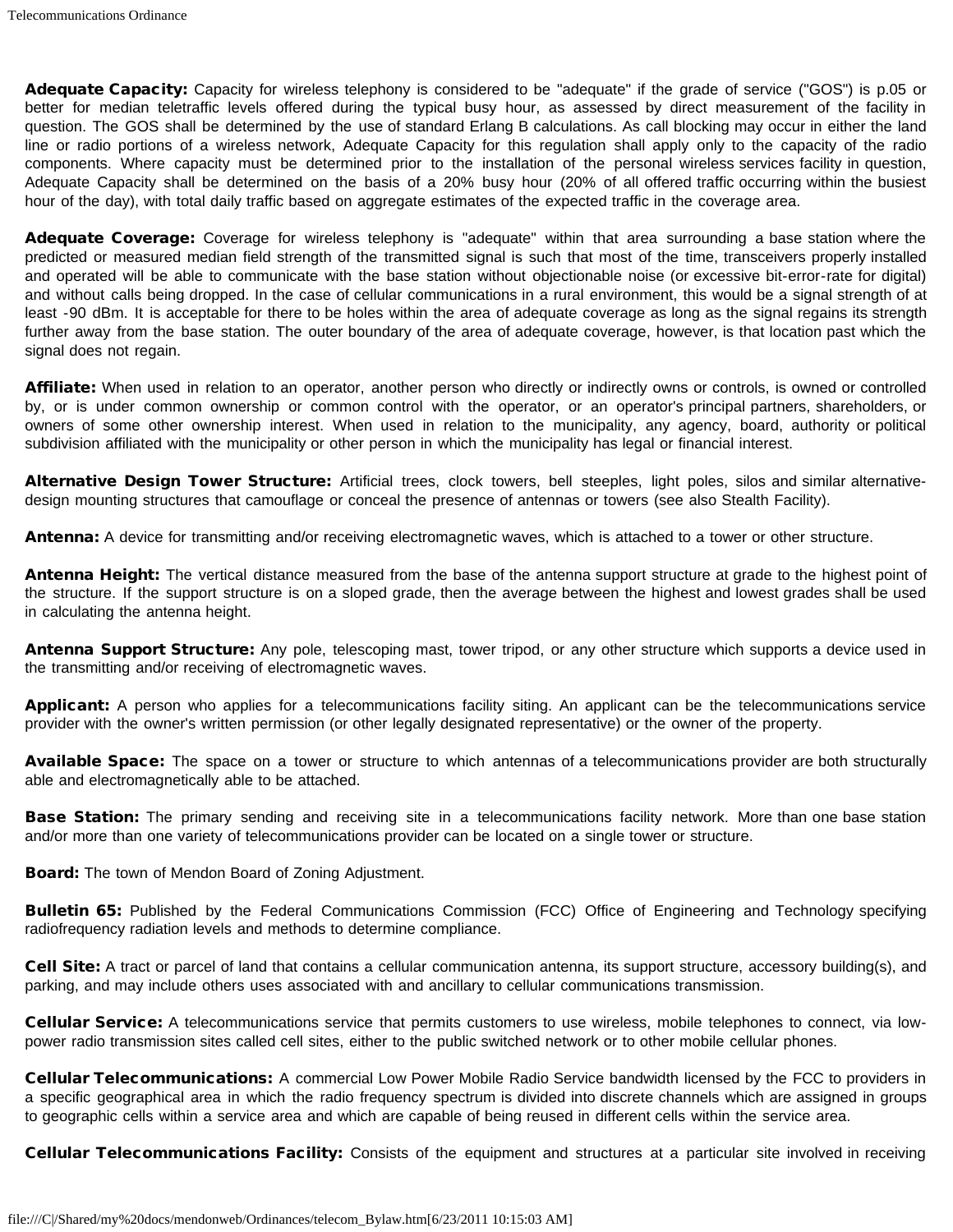Adequate Capacity: Capacity for wireless telephony is considered to be "adequate" if the grade of service ("GOS") is p.05 or better for median teletraffic levels offered during the typical busy hour, as assessed by direct measurement of the facility in question. The GOS shall be determined by the use of standard Erlang B calculations. As call blocking may occur in either the land line or radio portions of a wireless network, Adequate Capacity for this regulation shall apply only to the capacity of the radio components. Where capacity must be determined prior to the installation of the personal wireless services facility in question, Adequate Capacity shall be determined on the basis of a 20% busy hour (20% of all offered traffic occurring within the busiest hour of the day), with total daily traffic based on aggregate estimates of the expected traffic in the coverage area.

Adequate Coverage: Coverage for wireless telephony is "adequate" within that area surrounding a base station where the predicted or measured median field strength of the transmitted signal is such that most of the time, transceivers properly installed and operated will be able to communicate with the base station without objectionable noise (or excessive bit-error-rate for digital) and without calls being dropped. In the case of cellular communications in a rural environment, this would be a signal strength of at least -90 dBm. It is acceptable for there to be holes within the area of adequate coverage as long as the signal regains its strength further away from the base station. The outer boundary of the area of adequate coverage, however, is that location past which the signal does not regain.

Affiliate: When used in relation to an operator, another person who directly or indirectly owns or controls, is owned or controlled by, or is under common ownership or common control with the operator, or an operator's principal partners, shareholders, or owners of some other ownership interest. When used in relation to the municipality, any agency, board, authority or political subdivision affiliated with the municipality or other person in which the municipality has legal or financial interest.

Alternative Design Tower Structure: Artificial trees, clock towers, bell steeples, light poles, silos and similar alternativedesign mounting structures that camouflage or conceal the presence of antennas or towers (see also Stealth Facility).

Antenna: A device for transmitting and/or receiving electromagnetic waves, which is attached to a tower or other structure.

Antenna Height: The vertical distance measured from the base of the antenna support structure at grade to the highest point of the structure. If the support structure is on a sloped grade, then the average between the highest and lowest grades shall be used in calculating the antenna height.

Antenna Support Structure: Any pole, telescoping mast, tower tripod, or any other structure which supports a device used in the transmitting and/or receiving of electromagnetic waves.

Applicant: A person who applies for a telecommunications facility siting. An applicant can be the telecommunications service provider with the owner's written permission (or other legally designated representative) or the owner of the property.

Available Space: The space on a tower or structure to which antennas of a telecommunications provider are both structurally able and electromagnetically able to be attached.

**Base Station:** The primary sending and receiving site in a telecommunications facility network. More than one base station and/or more than one variety of telecommunications provider can be located on a single tower or structure.

**Board:** The town of Mendon Board of Zoning Adjustment.

Bulletin 65: Published by the Federal Communications Commission (FCC) Office of Engineering and Technology specifying radiofrequency radiation levels and methods to determine compliance.

Cell Site: A tract or parcel of land that contains a cellular communication antenna, its support structure, accessory building(s), and parking, and may include others uses associated with and ancillary to cellular communications transmission.

Cellular Service: A telecommunications service that permits customers to use wireless, mobile telephones to connect, via lowpower radio transmission sites called cell sites, either to the public switched network or to other mobile cellular phones.

Cellular Telecommunications: A commercial Low Power Mobile Radio Service bandwidth licensed by the FCC to providers in a specific geographical area in which the radio frequency spectrum is divided into discrete channels which are assigned in groups to geographic cells within a service area and which are capable of being reused in different cells within the service area.

Cellular Telecommunications Facility: Consists of the equipment and structures at a particular site involved in receiving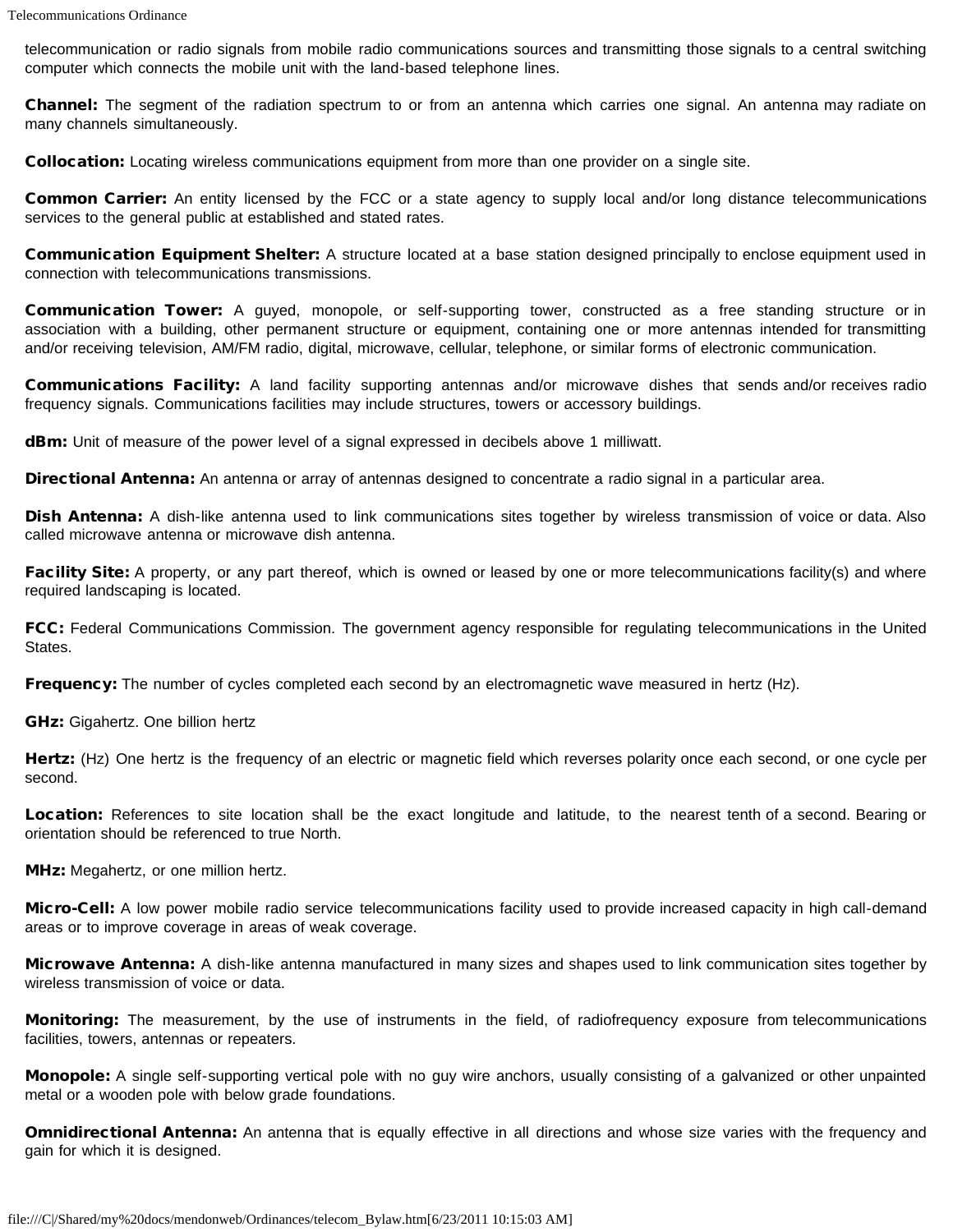telecommunication or radio signals from mobile radio communications sources and transmitting those signals to a central switching computer which connects the mobile unit with the land-based telephone lines.

Channel: The segment of the radiation spectrum to or from an antenna which carries one signal. An antenna may radiate on many channels simultaneously.

Collocation: Locating wireless communications equipment from more than one provider on a single site.

Common Carrier: An entity licensed by the FCC or a state agency to supply local and/or long distance telecommunications services to the general public at established and stated rates.

Communication Equipment Shelter: A structure located at a base station designed principally to enclose equipment used in connection with telecommunications transmissions.

Communication Tower: A guyed, monopole, or self-supporting tower, constructed as a free standing structure or in association with a building, other permanent structure or equipment, containing one or more antennas intended for transmitting and/or receiving television, AM/FM radio, digital, microwave, cellular, telephone, or similar forms of electronic communication.

Communications Facility: A land facility supporting antennas and/or microwave dishes that sends and/or receives radio frequency signals. Communications facilities may include structures, towers or accessory buildings.

dBm: Unit of measure of the power level of a signal expressed in decibels above 1 milliwatt.

Directional Antenna: An antenna or array of antennas designed to concentrate a radio signal in a particular area.

Dish Antenna: A dish-like antenna used to link communications sites together by wireless transmission of voice or data. Also called microwave antenna or microwave dish antenna.

Facility Site: A property, or any part thereof, which is owned or leased by one or more telecommunications facility(s) and where required landscaping is located.

FCC: Federal Communications Commission. The government agency responsible for regulating telecommunications in the United States.

Frequency: The number of cycles completed each second by an electromagnetic wave measured in hertz (Hz).

GHz: Gigahertz. One billion hertz

Hertz: (Hz) One hertz is the frequency of an electric or magnetic field which reverses polarity once each second, or one cycle per second.

Location: References to site location shall be the exact longitude and latitude, to the nearest tenth of a second. Bearing or orientation should be referenced to true North.

MHz: Megahertz, or one million hertz.

Micro-Cell: A low power mobile radio service telecommunications facility used to provide increased capacity in high call-demand areas or to improve coverage in areas of weak coverage.

Microwave Antenna: A dish-like antenna manufactured in many sizes and shapes used to link communication sites together by wireless transmission of voice or data.

Monitoring: The measurement, by the use of instruments in the field, of radiofrequency exposure from telecommunications facilities, towers, antennas or repeaters.

Monopole: A single self-supporting vertical pole with no guy wire anchors, usually consisting of a galvanized or other unpainted metal or a wooden pole with below grade foundations.

**Omnidirectional Antenna:** An antenna that is equally effective in all directions and whose size varies with the frequency and gain for which it is designed.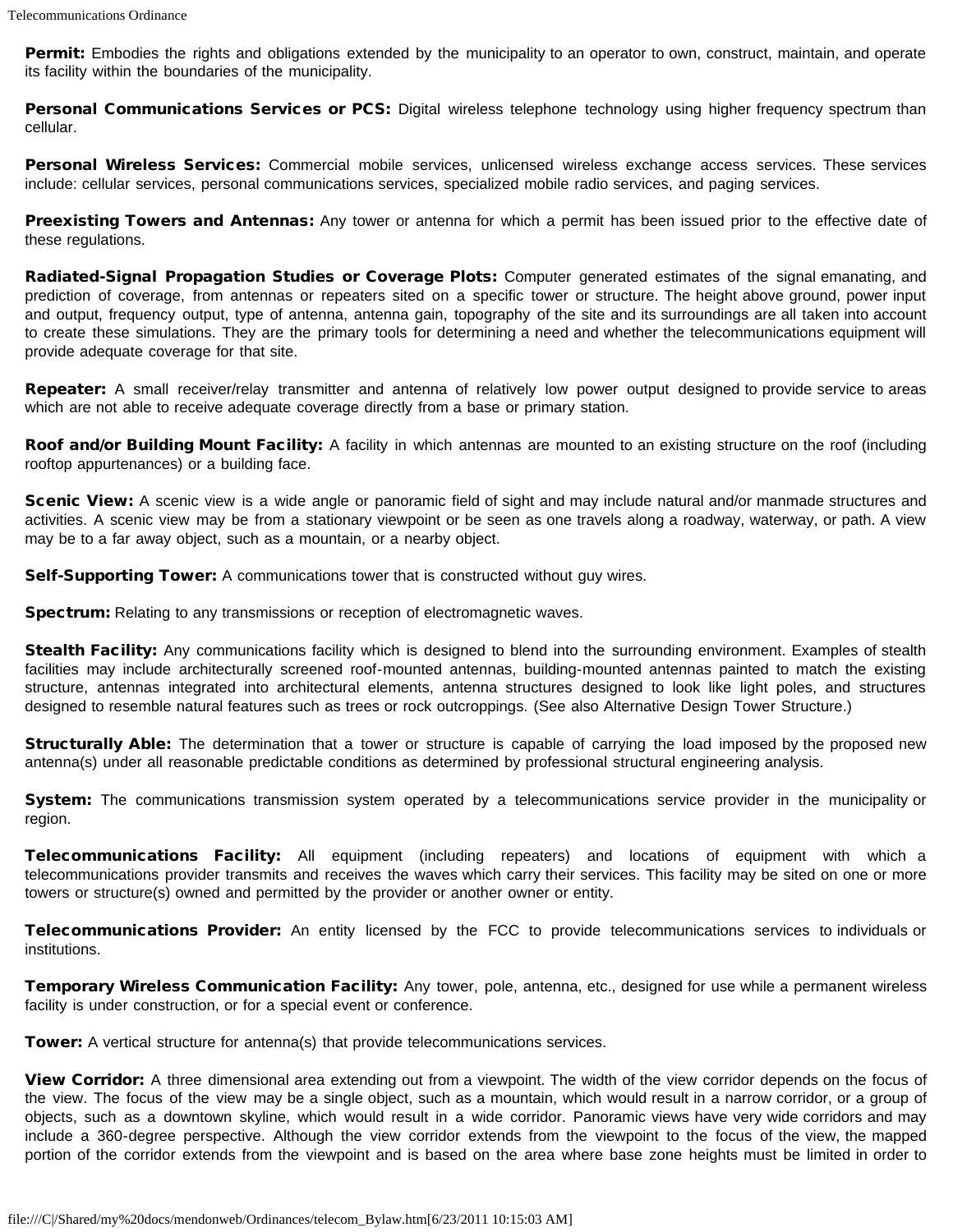Permit: Embodies the rights and obligations extended by the municipality to an operator to own, construct, maintain, and operate its facility within the boundaries of the municipality.

Personal Communications Services or PCS: Digital wireless telephone technology using higher frequency spectrum than cellular.

Personal Wireless Services: Commercial mobile services, unlicensed wireless exchange access services. These services include: cellular services, personal communications services, specialized mobile radio services, and paging services.

Preexisting Towers and Antennas: Any tower or antenna for which a permit has been issued prior to the effective date of these regulations.

Radiated-Signal Propagation Studies or Coverage Plots: Computer generated estimates of the signal emanating, and prediction of coverage, from antennas or repeaters sited on a specific tower or structure. The height above ground, power input and output, frequency output, type of antenna, antenna gain, topography of the site and its surroundings are all taken into account to create these simulations. They are the primary tools for determining a need and whether the telecommunications equipment will provide adequate coverage for that site.

Repeater: A small receiver/relay transmitter and antenna of relatively low power output designed to provide service to areas which are not able to receive adequate coverage directly from a base or primary station.

Roof and/or Building Mount Facility: A facility in which antennas are mounted to an existing structure on the roof (including rooftop appurtenances) or a building face.

Scenic View: A scenic view is a wide angle or panoramic field of sight and may include natural and/or manmade structures and activities. A scenic view may be from a stationary viewpoint or be seen as one travels along a roadway, waterway, or path. A view may be to a far away object, such as a mountain, or a nearby object.

Self-Supporting Tower: A communications tower that is constructed without guy wires.

Spectrum: Relating to any transmissions or reception of electromagnetic waves.

Stealth Facility: Any communications facility which is designed to blend into the surrounding environment. Examples of stealth facilities may include architecturally screened roof-mounted antennas, building-mounted antennas painted to match the existing structure, antennas integrated into architectural elements, antenna structures designed to look like light poles, and structures designed to resemble natural features such as trees or rock outcroppings. (See also Alternative Design Tower Structure.)

Structurally Able: The determination that a tower or structure is capable of carrying the load imposed by the proposed new antenna(s) under all reasonable predictable conditions as determined by professional structural engineering analysis.

**System:** The communications transmission system operated by a telecommunications service provider in the municipality or region.

Telecommunications Facility: All equipment (including repeaters) and locations of equipment with which a telecommunications provider transmits and receives the waves which carry their services. This facility may be sited on one or more towers or structure(s) owned and permitted by the provider or another owner or entity.

Telecommunications Provider: An entity licensed by the FCC to provide telecommunications services to individuals or institutions.

Temporary Wireless Communication Facility: Any tower, pole, antenna, etc., designed for use while a permanent wireless facility is under construction, or for a special event or conference.

**Tower:** A vertical structure for antenna(s) that provide telecommunications services.

View Corridor: A three dimensional area extending out from a viewpoint. The width of the view corridor depends on the focus of the view. The focus of the view may be a single object, such as a mountain, which would result in a narrow corridor, or a group of objects, such as a downtown skyline, which would result in a wide corridor. Panoramic views have very wide corridors and may include a 360-degree perspective. Although the view corridor extends from the viewpoint to the focus of the view, the mapped portion of the corridor extends from the viewpoint and is based on the area where base zone heights must be limited in order to